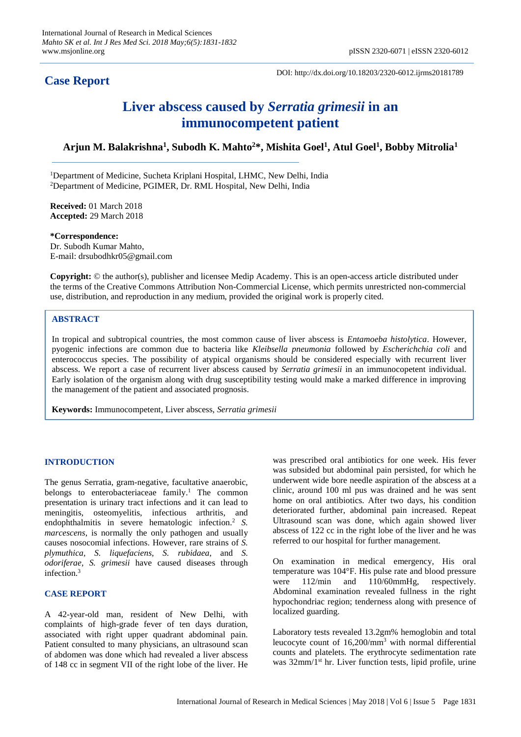# **Case Report**

DOI: http://dx.doi.org/10.18203/2320-6012.ijrms20181789

# **Liver abscess caused by** *Serratia grimesii* **in an immunocompetent patient**

## **Arjun M. Balakrishna<sup>1</sup> , Subodh K. Mahto<sup>2</sup>\*, Mishita Goel<sup>1</sup> , Atul Goel<sup>1</sup> , Bobby Mitrolia<sup>1</sup>**

<sup>1</sup>Department of Medicine, Sucheta Kriplani Hospital, LHMC, New Delhi, India <sup>2</sup>Department of Medicine, PGIMER, Dr. RML Hospital, New Delhi, India

**Received:** 01 March 2018 **Accepted:** 29 March 2018

**\*Correspondence:** Dr. Subodh Kumar Mahto, E-mail: drsubodhkr05@gmail.com

**Copyright:** © the author(s), publisher and licensee Medip Academy. This is an open-access article distributed under the terms of the Creative Commons Attribution Non-Commercial License, which permits unrestricted non-commercial use, distribution, and reproduction in any medium, provided the original work is properly cited.

## **ABSTRACT**

In tropical and subtropical countries, the most common cause of liver abscess is *Entamoeba histolytica*. However, pyogenic infections are common due to bacteria like *Kleibsella pneumonia* followed by *Escherichchia coli* and enterococcus species. The possibility of atypical organisms should be considered especially with recurrent liver abscess. We report a case of recurrent liver abscess caused by *Serratia grimesii* in an immunocopetent individual. Early isolation of the organism along with drug susceptibility testing would make a marked difference in improving the management of the patient and associated prognosis.

**Keywords:** Immunocompetent, Liver abscess, *Serratia grimesii*

## **INTRODUCTION**

The genus Serratia, gram-negative, facultative anaerobic, belongs to enterobacteriaceae family. <sup>1</sup> The common presentation is urinary tract infections and it can lead to meningitis, osteomyelitis, infectious arthritis, and endophthalmitis in severe hematologic infection. <sup>2</sup> *S. marcescens*, is normally the only pathogen and usually causes nosocomial infections. However, rare strains of *S. plymuthica, S. liquefaciens, S. rubidaea*, and *S. odoriferae, S. grimesii* have caused diseases through infection. 3

## **CASE REPORT**

A 42-year-old man, resident of New Delhi, with complaints of high-grade fever of ten days duration, associated with right upper quadrant abdominal pain. Patient consulted to many physicians, an ultrasound scan of abdomen was done which had revealed a liver abscess of 148 cc in segment VII of the right lobe of the liver. He was prescribed oral antibiotics for one week. His fever was subsided but abdominal pain persisted, for which he underwent wide bore needle aspiration of the abscess at a clinic, around 100 ml pus was drained and he was sent home on oral antibiotics. After two days, his condition deteriorated further, abdominal pain increased. Repeat Ultrasound scan was done, which again showed liver abscess of 122 cc in the right lobe of the liver and he was referred to our hospital for further management.

On examination in medical emergency, His oral temperature was 104°F. His pulse rate and blood pressure were 112/min and 110/60mmHg, respectively. Abdominal examination revealed fullness in the right hypochondriac region; tenderness along with presence of localized guarding.

Laboratory tests revealed 13.2gm% hemoglobin and total leucocyte count of 16,200/mm<sup>3</sup> with normal differential counts and platelets. The erythrocyte sedimentation rate was 32mm/1st hr. Liver function tests, lipid profile, urine